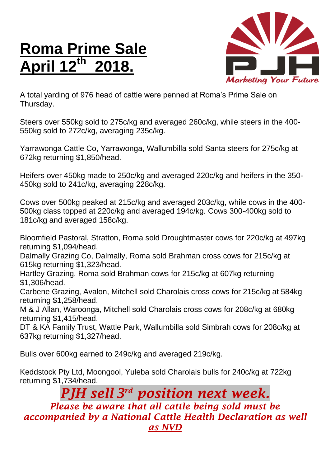## **Roma Prime Sale April 12 th 2018.**



A total yarding of 976 head of cattle were penned at Roma's Prime Sale on Thursday.

Steers over 550kg sold to 275c/kg and averaged 260c/kg, while steers in the 400- 550kg sold to 272c/kg, averaging 235c/kg.

Yarrawonga Cattle Co, Yarrawonga, Wallumbilla sold Santa steers for 275c/kg at 672kg returning \$1,850/head.

Heifers over 450kg made to 250c/kg and averaged 220c/kg and heifers in the 350- 450kg sold to 241c/kg, averaging 228c/kg.

Cows over 500kg peaked at 215c/kg and averaged 203c/kg, while cows in the 400- 500kg class topped at 220c/kg and averaged 194c/kg. Cows 300-400kg sold to 181c/kg and averaged 158c/kg.

Bloomfield Pastoral, Stratton, Roma sold Droughtmaster cows for 220c/kg at 497kg returning \$1,094/head.

Dalmally Grazing Co, Dalmally, Roma sold Brahman cross cows for 215c/kg at 615kg returning \$1,323/head.

Hartley Grazing, Roma sold Brahman cows for 215c/kg at 607kg returning \$1,306/head.

Carbene Grazing, Avalon, Mitchell sold Charolais cross cows for 215c/kg at 584kg returning \$1,258/head.

M & J Allan, Waroonga, Mitchell sold Charolais cross cows for 208c/kg at 680kg returning \$1,415/head.

DT & KA Family Trust, Wattle Park, Wallumbilla sold Simbrah cows for 208c/kg at 637kg returning \$1,327/head.

Bulls over 600kg earned to 249c/kg and averaged 219c/kg.

Keddstock Pty Ltd, Moongool, Yuleba sold Charolais bulls for 240c/kg at 722kg returning \$1,734/head.

*PJH sell 3 rd position next week. Please be aware that all cattle being sold must be accompanied by a National Cattle Health Declaration as well as NVD*